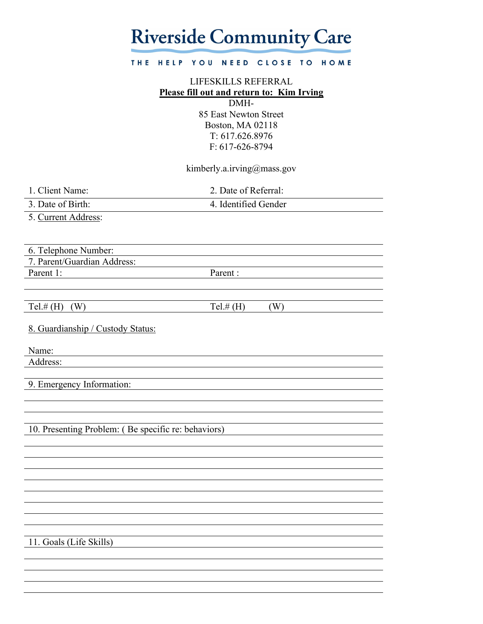## **Riverside Community Care**

#### THE HELP YOU NEED CLOSE TO HOME

### LIFESKILLS REFERRAL **Please fill out and return to: Kim Irving**

DMH-85 East Newton Street Boston, MA 02118 T: 617.626.8976 F: 617-626-8794

### kimberly.a.irving@mass.gov

1. Client Name: 2. Date of Referral:

3. Date of Birth: 4. Identified Gender

5. Current Address:

6. Telephone Number:

7. Parent/Guardian Address:

Parent 1: Parent :

Tel.# (H) (W)  $Tel.$   $H$  (H) (W)

8. Guardianship / Custody Status:

Name:

Address:

9. Emergency Information:

10. Presenting Problem: ( Be specific re: behaviors)

11. Goals (Life Skills)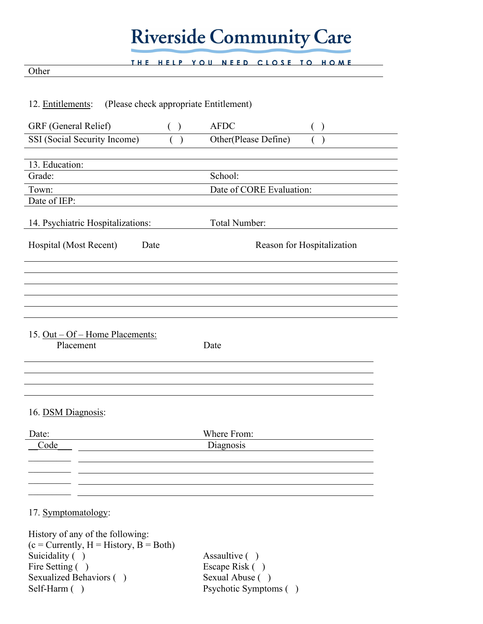## **Riverside Community Care**

THE HELP YOU NEED CLOSE TO HOME

### Other

| (Please check appropriate Entitlement)<br>12. Entitlements: |                            |
|-------------------------------------------------------------|----------------------------|
| GRF (General Relief)<br>( )                                 | <b>AFDC</b>                |
| SSI (Social Security Income)<br>$\mathcal{E}$               | Other(Please Define)       |
|                                                             |                            |
| 13. Education:                                              |                            |
| Grade:                                                      | School:                    |
| Town:<br>Date of IEP:                                       | Date of CORE Evaluation:   |
|                                                             |                            |
| 14. Psychiatric Hospitalizations:                           | Total Number:              |
| Hospital (Most Recent)<br>Date                              | Reason for Hospitalization |
|                                                             |                            |
| 15. Out – Of – Home Placements:<br>Placement<br>Date        |                            |
| 16. DSM Diagnosis:                                          |                            |
| Date:                                                       | Where From:                |
| Code                                                        | Diagnosis                  |
|                                                             |                            |
|                                                             |                            |
|                                                             |                            |
| 17. Symptomatology:                                         |                            |

History of any of the following:  $(c = Currently, H = History, B = Both)$ Suicidality ( ) Assaultive ( ) Fire Setting ( ) Escape Risk ( ) Sexualized Behaviors ( ) Sexual Abuse ( ) Self-Harm ( ) Psychotic Symptoms ( )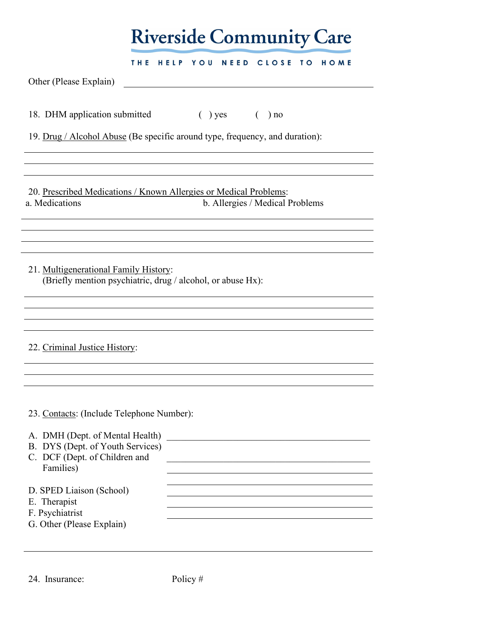|                                                                                                                                                                | <b>Riverside Community Care</b>                                                                      |
|----------------------------------------------------------------------------------------------------------------------------------------------------------------|------------------------------------------------------------------------------------------------------|
| Other (Please Explain)                                                                                                                                         | HELP YOU<br>NEED CLOSE TO<br>THE<br><b>HOME</b>                                                      |
| 18. DHM application submitted                                                                                                                                  | $( )$ yes $( )$ no<br>19. Drug / Alcohol Abuse (Be specific around type, frequency, and duration):   |
| a. Medications                                                                                                                                                 | 20. Prescribed Medications / Known Allergies or Medical Problems:<br>b. Allergies / Medical Problems |
| 21. Multigenerational Family History:                                                                                                                          | (Briefly mention psychiatric, drug / alcohol, or abuse Hx):                                          |
| 22. Criminal Justice History:                                                                                                                                  |                                                                                                      |
| 23. Contacts: (Include Telephone Number):<br>A. DMH (Dept. of Mental Health)<br>B. DYS (Dept. of Youth Services)<br>C. DCF (Dept. of Children and<br>Families) | the control of the control of the control of the control of the control of the control of            |
| D. SPED Liaison (School)<br>E. Therapist<br>F. Psychiatrist<br>G. Other (Please Explain)                                                                       |                                                                                                      |

24. Insurance: Policy #